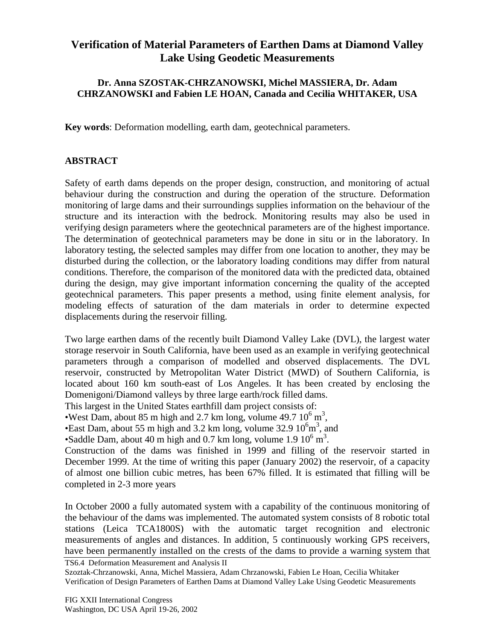## **Verification of Material Parameters of Earthen Dams at Diamond Valley Lake Using Geodetic Measurements**

## **Dr. Anna SZOSTAK-CHRZANOWSKI, Michel MASSIERA, Dr. Adam CHRZANOWSKI and Fabien LE HOAN, Canada and Cecilia WHITAKER, USA**

**Key words**: Deformation modelling, earth dam, geotechnical parameters.

## **ABSTRACT**

Safety of earth dams depends on the proper design, construction, and monitoring of actual behaviour during the construction and during the operation of the structure. Deformation monitoring of large dams and their surroundings supplies information on the behaviour of the structure and its interaction with the bedrock. Monitoring results may also be used in verifying design parameters where the geotechnical parameters are of the highest importance. The determination of geotechnical parameters may be done in situ or in the laboratory. In laboratory testing, the selected samples may differ from one location to another, they may be disturbed during the collection, or the laboratory loading conditions may differ from natural conditions. Therefore, the comparison of the monitored data with the predicted data, obtained during the design, may give important information concerning the quality of the accepted geotechnical parameters. This paper presents a method, using finite element analysis, for modeling effects of saturation of the dam materials in order to determine expected displacements during the reservoir filling.

Two large earthen dams of the recently built Diamond Valley Lake (DVL), the largest water storage reservoir in South California, have been used as an example in verifying geotechnical parameters through a comparison of modelled and observed displacements. The DVL reservoir, constructed by Metropolitan Water District (MWD) of Southern California, is located about 160 km south-east of Los Angeles. It has been created by enclosing the Domenigoni/Diamond valleys by three large earth/rock filled dams.

This largest in the United States earthfill dam project consists of:

West Dam, about 85 m high and 2.7 km long, volume  $49.7 10^6$  m<sup>3</sup>,

East Dam, about 55 m high and 3.2 km long, volume  $32.9 \times 10^6$  m<sup>3</sup>, and

•Saddle Dam, about 40 m high and 0.7 km long, volume  $1.9\ 10^6\ \text{m}^3$ .

Construction of the dams was finished in 1999 and filling of the reservoir started in December 1999. At the time of writing this paper (January 2002) the reservoir, of a capacity of almost one billion cubic metres, has been 67% filled. It is estimated that filling will be completed in 2-3 more years

In October 2000 a fully automated system with a capability of the continuous monitoring of the behaviour of the dams was implemented. The automated system consists of 8 robotic total stations (Leica TCA1800S) with the automatic target recognition and electronic measurements of angles and distances. In addition, 5 continuously working GPS receivers, have been permanently installed on the crests of the dams to provide a warning system that

TS6.4 Deformation Measurement and Analysis II

Szoztak-Chrzanowski, Anna, Michel Massiera, Adam Chrzanowski, Fabien Le Hoan, Cecilia Whitaker Verification of Design Parameters of Earthen Dams at Diamond Valley Lake Using Geodetic Measurements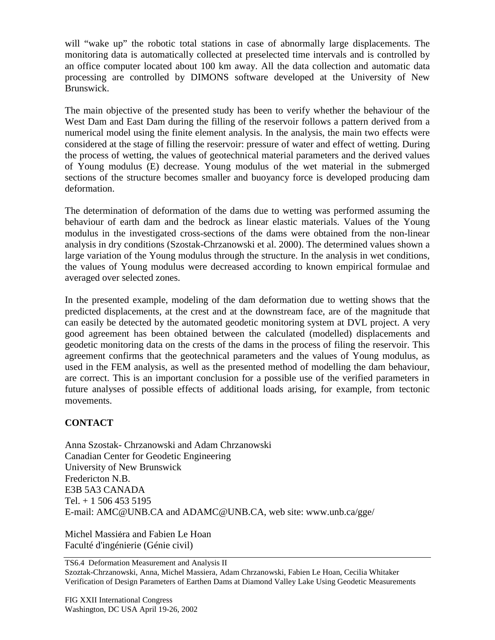will "wake up" the robotic total stations in case of abnormally large displacements. The monitoring data is automatically collected at preselected time intervals and is controlled by an office computer located about 100 km away. All the data collection and automatic data processing are controlled by DIMONS software developed at the University of New Brunswick.

The main objective of the presented study has been to verify whether the behaviour of the West Dam and East Dam during the filling of the reservoir follows a pattern derived from a numerical model using the finite element analysis. In the analysis, the main two effects were considered at the stage of filling the reservoir: pressure of water and effect of wetting. During the process of wetting, the values of geotechnical material parameters and the derived values of Young modulus (E) decrease. Young modulus of the wet material in the submerged sections of the structure becomes smaller and buoyancy force is developed producing dam deformation.

The determination of deformation of the dams due to wetting was performed assuming the behaviour of earth dam and the bedrock as linear elastic materials. Values of the Young modulus in the investigated cross-sections of the dams were obtained from the non-linear analysis in dry conditions (Szostak-Chrzanowski et al. 2000). The determined values shown a large variation of the Young modulus through the structure. In the analysis in wet conditions, the values of Young modulus were decreased according to known empirical formulae and averaged over selected zones.

In the presented example, modeling of the dam deformation due to wetting shows that the predicted displacements, at the crest and at the downstream face, are of the magnitude that can easily be detected by the automated geodetic monitoring system at DVL project. A very good agreement has been obtained between the calculated (modelled) displacements and geodetic monitoring data on the crests of the dams in the process of filing the reservoir. This agreement confirms that the geotechnical parameters and the values of Young modulus, as used in the FEM analysis, as well as the presented method of modelling the dam behaviour, are correct. This is an important conclusion for a possible use of the verified parameters in future analyses of possible effects of additional loads arising, for example, from tectonic movements.

## **CONTACT**

Anna Szostak- Chrzanowski and Adam Chrzanowski Canadian Center for Geodetic Engineering University of New Brunswick Fredericton N.B. E3B 5A3 CANADA Tel. + 1 506 453 5195 E-mail: AMC@UNB.CA and ADAMC@UNB.CA, web site: www.unb.ca/gge/

Michel Massiéra and Fabien Le Hoan Faculté d'ingénierie (Génie civil)

TS6.4 Deformation Measurement and Analysis II

Szoztak-Chrzanowski, Anna, Michel Massiera, Adam Chrzanowski, Fabien Le Hoan, Cecilia Whitaker Verification of Design Parameters of Earthen Dams at Diamond Valley Lake Using Geodetic Measurements